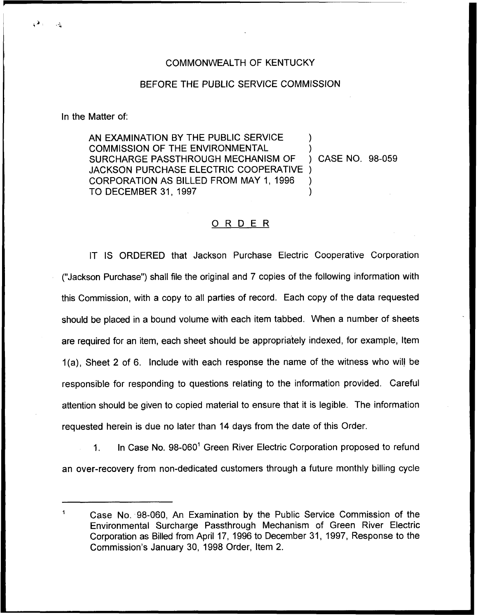## COMMONWEALTH OF KENTUCKY

## BEFORE THE PUBLIC SERVICE COMMISSION

In the Matter of:

AN EXAMINATION BY THE PUBLIC SERVICE COMMISSION OF THE ENVIRONMENTAL  $\left( \begin{array}{ccc} \circ & \circ \\ \circ & \circ \end{array} \right)$  (Case No. 98-059) SURCHARGE PASSTHROUGH MECHANISM OF JACKSON PURCHASE ELECTRIC COOPERATIVE ) CORPORATION AS BILLED FROM MAY 1, 1996 ) TO DECEMBER 31, 1997

## ORDER

IT IS ORDERED that Jackson Purchase Electric Cooperative Corporation ("Jackson Purchase") shall file the original and 7 copies of the following information witl this Commission, with a copy to all parties of record. Each copy of the data requested should be placed in a bound volume with each item tabbed. When a number of sheets are required for an item, each sheet should be appropriately indexed, for example, Item 1(a), Sheet 2 of 6. Include with each response the name of the witness who will be responsible for responding to questions relating to the information provided. Careful attention should be given to copied material to ensure that it is legible. The information requested herein is due no later than 14 days from the date of this Order.

1. In Case No.  $98-060^{\circ}$  Green River Electric Corporation proposed to refund an over-recovery from non-dedicated customers through a future monthly billing cycle

Case No. 98-060, An Examination by the Public Service Commission of the Environmental Surcharge Passthrough Mechanism of Green River Electric Corporation as Billed from April 17, 1996 to December 31, 1997, Response to the Commission's January 30, 1998 Order, Item 2.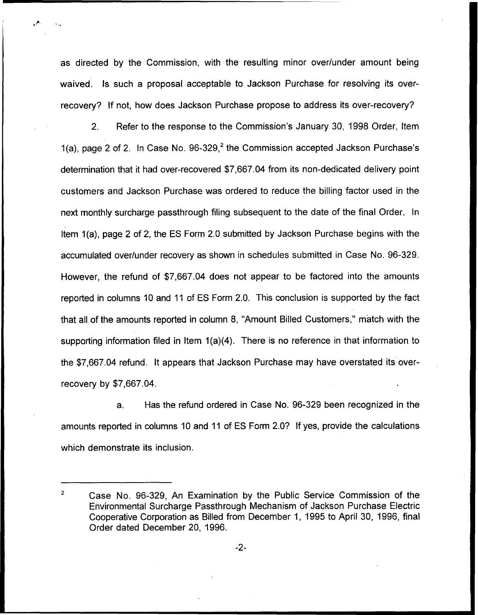as directed by the Commission, with the resulting minor over/under amount being waived. Is such a proposal acceptable to Jackson Purchase for resolving its overrecovery? If not, how does Jackson Purchase propose to address its over-recovery?

2. Refer to the response to the Commission's January 30, 1998 Order, Item 1(a), page 2 of 2. In Case No.  $96-329$ , the Commission accepted Jackson Purchase's determination that it had over-recovered \$7,667.04 from its non-dedicated delivery point customers and Jackson Purchase was ordered to reduce the billing factor used in the next monthly surcharge passthrough filing subsequent to the date of the final Order. In Item 1(a), page 2 of 2, the ES Form 2.0 submitted by Jackson Purchase begins with the accumulated over/under recovery as shown in schedules submitted in Case No. 96-329. However, the refund of \$7,667.04 does not appear to be factored into the amounts reported in columns 10 and 11 of ES Form 2.0. This conclusion is supported by the fact that all of the amounts reported in column 8, "Amount Billed Customers," match with the supporting information filed in Item 1(a)(4). There is no reference in that information to the \$7,667.04 refund. It appears that Jackson Purchase may have overstated its overrecovery by \$7,667.04.

a. Has the refund ordered in Case No. 96-329 been recognized in the amounts reported in columns 10 and 11 of ES Form 2.0? If yes, provide the calculations which demonstrate its inclusion.

 $\overline{2}$ Case No. 96-329, An Examination by the Public Service Commission of the Environmental Surcharge Passthrough Mechanism of Jackson Purchase Electric Cooperative Corporation as Billed from December 1, 1995 to April 30, 1996, final Order dated December 20, 1996.